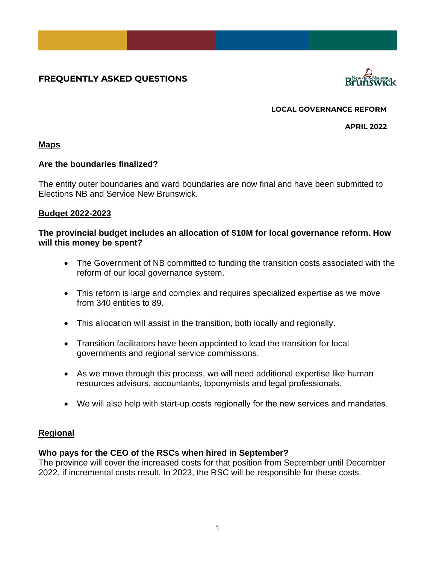# **FREQUENTLY ASKED QUESTIONS**



**LOCAL GOVERNANCE REFORM**

**APRIL 2022**

# **Maps**

# **Are the boundaries finalized?**

The entity outer boundaries and ward boundaries are now final and have been submitted to Elections NB and Service New Brunswick.

## **Budget 2022-2023**

## **The provincial budget includes an allocation of \$10M for local governance reform. How will this money be spent?**

- The Government of NB committed to funding the transition costs associated with the reform of our local governance system.
- This reform is large and complex and requires specialized expertise as we move from 340 entities to 89.
- This allocation will assist in the transition, both locally and regionally.
- Transition facilitators have been appointed to lead the transition for local governments and regional service commissions.
- As we move through this process, we will need additional expertise like human resources advisors, accountants, toponymists and legal professionals.
- We will also help with start-up costs regionally for the new services and mandates.

# **Regional**

# **Who pays for the CEO of the RSCs when hired in September?**

The province will cover the increased costs for that position from September until December 2022, if incremental costs result. In 2023, the RSC will be responsible for these costs.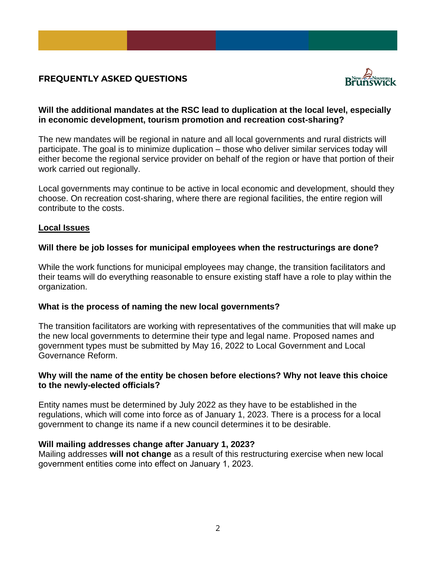# **FREQUENTLY ASKED QUESTIONS**



# **Will the additional mandates at the RSC lead to duplication at the local level, especially in economic development, tourism promotion and recreation cost-sharing?**

The new mandates will be regional in nature and all local governments and rural districts will participate. The goal is to minimize duplication – those who deliver similar services today will either become the regional service provider on behalf of the region or have that portion of their work carried out regionally.

Local governments may continue to be active in local economic and development, should they choose. On recreation cost-sharing, where there are regional facilities, the entire region will contribute to the costs.

### **Local Issues**

## **Will there be job losses for municipal employees when the restructurings are done?**

While the work functions for municipal employees may change, the transition facilitators and their teams will do everything reasonable to ensure existing staff have a role to play within the organization.

### **What is the process of naming the new local governments?**

The transition facilitators are working with representatives of the communities that will make up the new local governments to determine their type and legal name. Proposed names and government types must be submitted by May 16, 2022 to Local Government and Local Governance Reform.

# **Why will the name of the entity be chosen before elections? Why not leave this choice to the newly-elected officials?**

Entity names must be determined by July 2022 as they have to be established in the regulations, which will come into force as of January 1, 2023. There is a process for a local government to change its name if a new council determines it to be desirable.

### **Will mailing addresses change after January 1, 2023?**

Mailing addresses **will not change** as a result of this restructuring exercise when new local government entities come into effect on January 1, 2023.